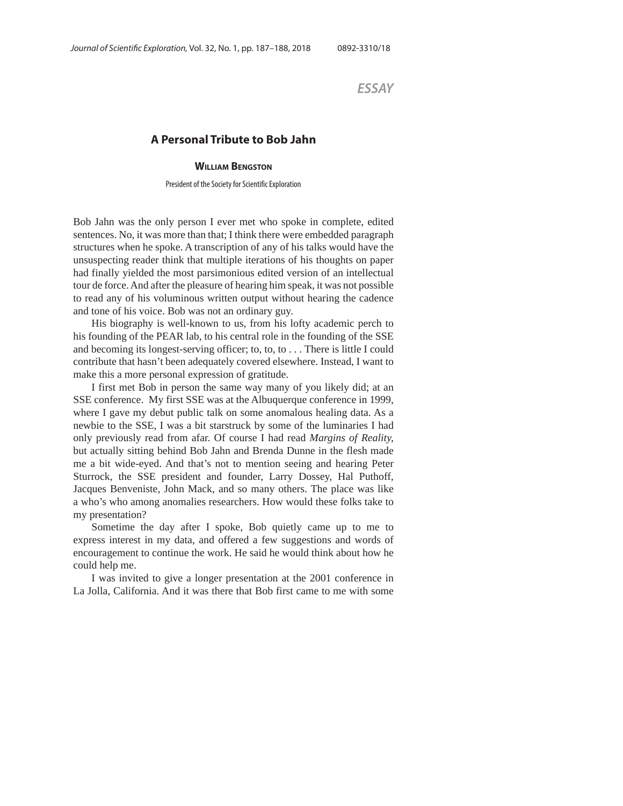*ESSAY*

## **A Personal Tribute to Bob Jahn**

## **WILLIAM BENGSTON**

President of the Society for Scientific Exploration

Bob Jahn was the only person I ever met who spoke in complete, edited sentences. No, it was more than that; I think there were embedded paragraph structures when he spoke. A transcription of any of his talks would have the unsuspecting reader think that multiple iterations of his thoughts on paper had finally yielded the most parsimonious edited version of an intellectual tour de force. And after the pleasure of hearing him speak, it was not possible to read any of his voluminous written output without hearing the cadence and tone of his voice. Bob was not an ordinary guy.

His biography is well-known to us, from his lofty academic perch to his founding of the PEAR lab, to his central role in the founding of the SSE and becoming its longest-serving officer; to, to, to . . . There is little I could contribute that hasn't been adequately covered elsewhere. Instead, I want to make this a more personal expression of gratitude.

I first met Bob in person the same way many of you likely did; at an SSE conference. My first SSE was at the Albuquerque conference in 1999, where I gave my debut public talk on some anomalous healing data. As a newbie to the SSE, I was a bit starstruck by some of the luminaries I had only previously read from afar. Of course I had read *Margins of Reality,*  but actually sitting behind Bob Jahn and Brenda Dunne in the flesh made me a bit wide-eyed. And that's not to mention seeing and hearing Peter Sturrock, the SSE president and founder, Larry Dossey, Hal Puthoff, Jacques Benveniste, John Mack, and so many others. The place was like a who's who among anomalies researchers. How would these folks take to my presentation?

Sometime the day after I spoke, Bob quietly came up to me to express interest in my data, and offered a few suggestions and words of encouragement to continue the work. He said he would think about how he could help me.

I was invited to give a longer presentation at the 2001 conference in La Jolla, California. And it was there that Bob first came to me with some